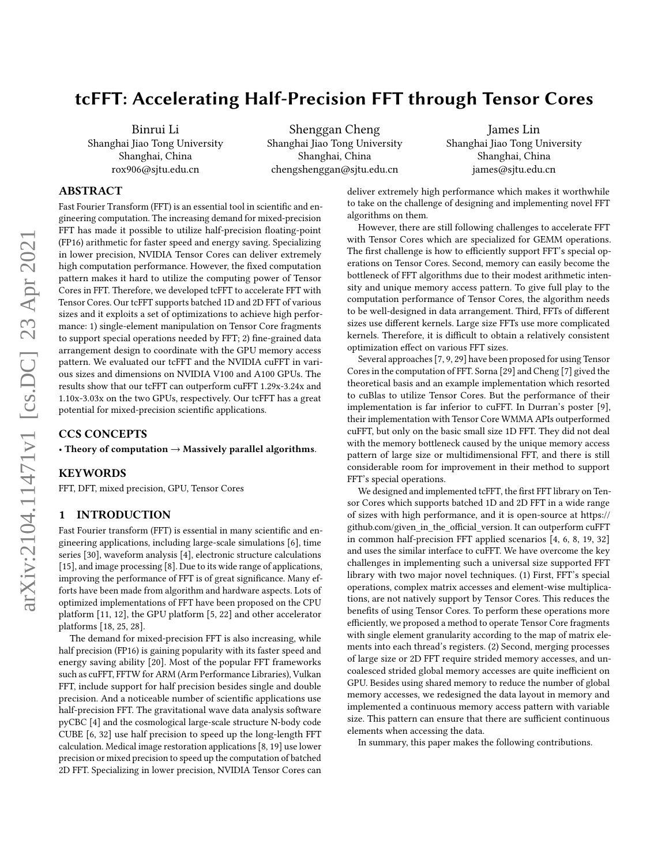# tcFFT: Accelerating Half-Precision FFT through Tensor Cores

Binrui Li Shanghai Jiao Tong University Shanghai, China rox906@sjtu.edu.cn

Shenggan Cheng Shanghai Jiao Tong University Shanghai, China chengshenggan@sjtu.edu.cn

James Lin Shanghai Jiao Tong University Shanghai, China james@sjtu.edu.cn

## ABSTRACT

Fast Fourier Transform (FFT) is an essential tool in scientific and engineering computation. The increasing demand for mixed-precision FFT has made it possible to utilize half-precision floating-point (FP16) arithmetic for faster speed and energy saving. Specializing in lower precision, NVIDIA Tensor Cores can deliver extremely high computation performance. However, the fixed computation pattern makes it hard to utilize the computing power of Tensor Cores in FFT. Therefore, we developed tcFFT to accelerate FFT with Tensor Cores. Our tcFFT supports batched 1D and 2D FFT of various sizes and it exploits a set of optimizations to achieve high performance: 1) single-element manipulation on Tensor Core fragments to support special operations needed by FFT; 2) fine-grained data arrangement design to coordinate with the GPU memory access pattern. We evaluated our tcFFT and the NVIDIA cuFFT in various sizes and dimensions on NVIDIA V100 and A100 GPUs. The results show that our tcFFT can outperform cuFFT 1.29x-3.24x and 1.10x-3.03x on the two GPUs, respectively. Our tcFFT has a great potential for mixed-precision scientific applications.

### CCS CONCEPTS

• Theory of computation  $\rightarrow$  Massively parallel algorithms.

#### KEYWORDS

FFT, DFT, mixed precision, GPU, Tensor Cores

#### 1 INTRODUCTION

Fast Fourier transform (FFT) is essential in many scientific and engineering applications, including large-scale simulations [\[6\]](#page-9-0), time series [\[30\]](#page-9-1), waveform analysis [\[4\]](#page-9-2), electronic structure calculations [\[15\]](#page-9-3), and image processing [\[8\]](#page-9-4). Due to its wide range of applications, improving the performance of FFT is of great significance. Many efforts have been made from algorithm and hardware aspects. Lots of optimized implementations of FFT have been proposed on the CPU platform [\[11,](#page-9-5) [12\]](#page-9-6), the GPU platform [\[5,](#page-9-7) [22\]](#page-9-8) and other accelerator platforms [\[18,](#page-9-9) [25,](#page-9-10) [28\]](#page-9-11).

The demand for mixed-precision FFT is also increasing, while half precision (FP16) is gaining popularity with its faster speed and energy saving ability [\[20\]](#page-9-12). Most of the popular FFT frameworks such as cuFFT, FFTW for ARM (Arm Performance Libraries), Vulkan FFT, include support for half precision besides single and double precision. And a noticeable number of scientific applications use half-precision FFT. The gravitational wave data analysis software pyCBC [\[4\]](#page-9-2) and the cosmological large-scale structure N-body code CUBE [\[6,](#page-9-0) [32\]](#page-9-13) use half precision to speed up the long-length FFT calculation. Medical image restoration applications [\[8,](#page-9-4) [19\]](#page-9-14) use lower precision or mixed precision to speed up the computation of batched 2D FFT. Specializing in lower precision, NVIDIA Tensor Cores can deliver extremely high performance which makes it worthwhile to take on the challenge of designing and implementing novel FFT algorithms on them.

However, there are still following challenges to accelerate FFT with Tensor Cores which are specialized for GEMM operations. The first challenge is how to efficiently support FFT's special operations on Tensor Cores. Second, memory can easily become the bottleneck of FFT algorithms due to their modest arithmetic intensity and unique memory access pattern. To give full play to the computation performance of Tensor Cores, the algorithm needs to be well-designed in data arrangement. Third, FFTs of different sizes use different kernels. Large size FFTs use more complicated kernels. Therefore, it is difficult to obtain a relatively consistent optimization effect on various FFT sizes.

Several approaches [\[7,](#page-9-15) [9,](#page-9-16) [29\]](#page-9-17) have been proposed for using Tensor Cores in the computation of FFT. Sorna [\[29\]](#page-9-17) and Cheng [\[7\]](#page-9-15) gived the theoretical basis and an example implementation which resorted to cuBlas to utilize Tensor Cores. But the performance of their implementation is far inferior to cuFFT. In Durran's poster [\[9\]](#page-9-16), their implementation with Tensor Core WMMA APIs outperformed cuFFT, but only on the basic small size 1D FFT. They did not deal with the memory bottleneck caused by the unique memory access pattern of large size or multidimensional FFT, and there is still considerable room for improvement in their method to support FFT's special operations.

We designed and implemented tcFFT, the first FFT library on Tensor Cores which supports batched 1D and 2D FFT in a wide range of sizes with high performance, and it is open-source at [https://](https://github.com/given_in_the_official_version) [github.com/given\\_in\\_the\\_official\\_version.](https://github.com/given_in_the_official_version) It can outperform cuFFT in common half-precision FFT applied scenarios [\[4,](#page-9-2) [6,](#page-9-0) [8,](#page-9-4) [19,](#page-9-14) [32\]](#page-9-13) and uses the similar interface to cuFFT. We have overcome the key challenges in implementing such a universal size supported FFT library with two major novel techniques. (1) First, FFT's special operations, complex matrix accesses and element-wise multiplications, are not natively support by Tensor Cores. This reduces the benefits of using Tensor Cores. To perform these operations more efficiently, we proposed a method to operate Tensor Core fragments with single element granularity according to the map of matrix elements into each thread's registers. (2) Second, merging processes of large size or 2D FFT require strided memory accesses, and uncoalesced strided global memory accesses are quite inefficient on GPU. Besides using shared memory to reduce the number of global memory accesses, we redesigned the data layout in memory and implemented a continuous memory access pattern with variable size. This pattern can ensure that there are sufficient continuous elements when accessing the data.

In summary, this paper makes the following contributions.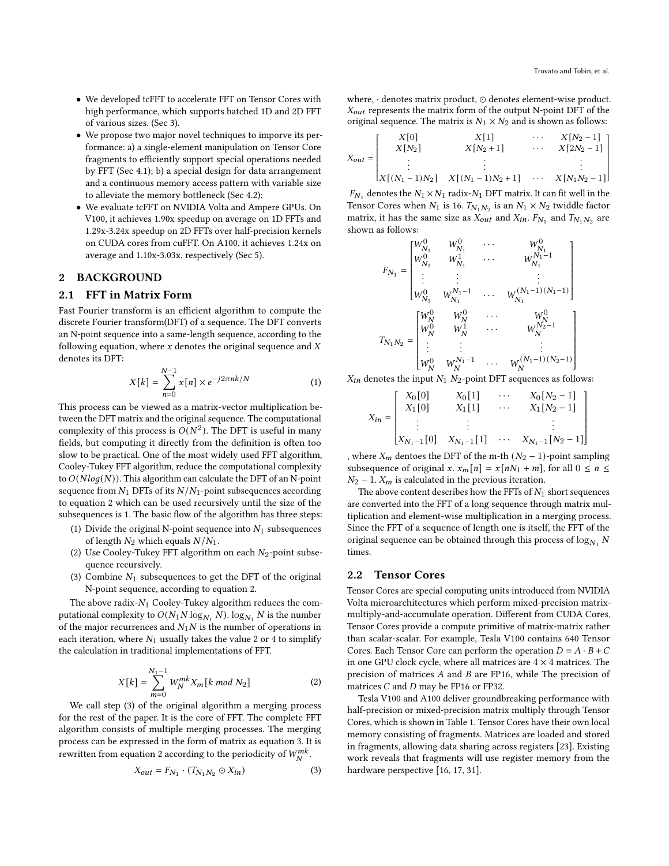- We developed tcFFT to accelerate FFT on Tensor Cores with high performance, which supports batched 1D and 2D FFT of various sizes. (Sec [3\)](#page-2-0).
- We propose two major novel techniques to imporve its performance: a) a single-element manipulation on Tensor Core fragments to efficiently support special operations needed by FFT (Sec [4.1\)](#page-3-0); b) a special design for data arrangement and a continuous memory access pattern with variable size to alleviate the memory bottleneck (Sec [4.2\)](#page-4-0);
- We evaluate tcFFT on NVIDIA Volta and Ampere GPUs. On V100, it achieves 1.90x speedup on average on 1D FFTs and 1.29x-3.24x speedup on 2D FFTs over half-precision kernels on CUDA cores from cuFFT. On A100, it achieves 1.24x on average and 1.10x-3.03x, respectively (Sec [5\)](#page-5-0).

## 2 BACKGROUND

#### <span id="page-1-2"></span>2.1 FFT in Matrix Form

Fast Fourier transform is an efficient algorithm to compute the discrete Fourier transform(DFT) of a sequence. The DFT converts an N-point sequence into a same-length sequence, according to the following equation, where  $x$  denotes the original sequence and  $X$ denotes its DFT:

$$
X[k] = \sum_{n=0}^{N-1} x[n] \times e^{-j2\pi nk/N}
$$
 (1)

This process can be viewed as a matrix-vector multiplication between the DFT matrix and the original sequence. The computational complexity of this process is  $O(N^2)$ . The DFT is useful in many fields, but computing it directly from the definition is often too slow to be practical. One of the most widely used FFT algorithm, Cooley-Tukey FFT algorithm, reduce the computational complexity to  $O(Nlog(N))$ . This algorithm can calculate the DFT of an N-point sequence from  $N_1$  DFTs of its  $N/N_1$ -point subsequences according to equation [2](#page-1-0) which can be used recursively until the size of the subsequences is 1. The basic flow of the algorithm has three steps:

- (1) Divide the original N-point sequence into  $N_1$  subsequences of length  $N_2$  which equals  $N/N_1$ .
- (2) Use Cooley-Tukey FFT algorithm on each  $N_2$ -point subsequence recursively.
- (3) Combine  $N_1$  subsequences to get the DFT of the original N-point sequence, according to equation [2.](#page-1-0)

The above radix- $N_1$  Cooley-Tukey algorithm reduces the computational complexity to  $O(N_1 N \log_{N_1} N)$ .  $\log_{N_1} N$  is the number of the major recurrences and  $N_1 N$  is the number of operations in each iteration, where  $N_1$  usually takes the value 2 or 4 to simplify the calculation in traditional implementations of FFT.

<span id="page-1-0"></span>
$$
X[k] = \sum_{m=0}^{N_1 - 1} W_N^{mk} X_m[k \mod N_2]
$$
 (2)

We call step (3) of the original algorithm a merging process for the rest of the paper. It is the core of FFT. The complete FFT algorithm consists of multiple merging processes. The merging process can be expressed in the form of matrix as equation [3.](#page-1-1) It is rewritten from equation [2](#page-1-0) according to the periodicity of  $W_N^{mk}$ .

<span id="page-1-1"></span>
$$
X_{out} = F_{N_1} \cdot (T_{N_1 N_2} \odot X_{in}) \tag{3}
$$

where, · denotes matrix product, ⊙ denotes element-wise product.  $X_{out}$  represents the matrix form of the output N-point DFT of the original sequence. The matrix is  $N_1 \times N_2$  and is shown as follows:

$$
X_{out} = \begin{bmatrix} X[0] & X[1] & \cdots & X[N_2-1] \\ X[N_2] & X[N_2+1] & \cdots & X[2N_2-1] \\ \vdots & \vdots & \ddots & \vdots \\ X[(N_1-1)N_2] & X[(N_1-1)N_2+1] & \cdots & X[N_1N_2-1] \end{bmatrix}
$$

 $F_{N_1}$  denotes the  $N_1 \times N_1$  radix- $N_1$  DFT matrix. It can fit well in the Tensor Cores when  $N_1$  is 16.  $T_{N_1 N_2}$  is an  $N_1 \times N_2$  twiddle factor matrix, it has the same size as  $\overline{X_{out}}$  and  $X_{in}$ .  $F_{N_1}$  and  $T_{N_1N_2}$  are shown as follows:

$$
F_{N_1} = \begin{bmatrix} W_{N_1}^0 & W_{N_1}^0 & \cdots & W_{N_1}^0 \\ W_{N_1}^0 & W_{N_1}^1 & \cdots & W_{N_1}^{N_1-1} \\ \vdots & \vdots & & \vdots \\ W_{N_1}^0 & W_{N_1}^{N_1-1} & \cdots & W_{N_1}^{(N_1-1)(N_1-1)} \\ \end{bmatrix} \\ T_{N_1 N_2} = \begin{bmatrix} W_N^0 & W_N^0 & \cdots & W_N^0 \\ W_N^0 & W_N^1 & \cdots & W_N^0 \\ \vdots & \vdots & & \vdots \\ W_N^0 & W_N^{N_1-1} & \cdots & W_N^{(N_1-1)(N_2-1)} \\ \vdots & \vdots & & \vdots \\ W_N^0 & W_N^{N_1-1} & \cdots & W_N^{(N_1-1)(N_2-1)} \\ \end{bmatrix}
$$

 $X_{in}$  denotes the input  $N_1$   $N_2$ -point DFT sequences as follows:

$$
X_{in} = \begin{bmatrix} X_0[0] & X_0[1] & \cdots & X_0[N_2 - 1] \\ X_1[0] & X_1[1] & \cdots & X_1[N_2 - 1] \\ \vdots & \vdots & & \vdots \\ X_{N_1 - 1}[0] & X_{N_1 - 1}[1] & \cdots & X_{N_1 - 1}[N_2 - 1] \end{bmatrix}
$$

where  $X_m$  dentoes the DFT of the m-th  $(N_2 - 1)$ -point sampling subsequence of original x.  $x_m[n] = x[nN_1 + m]$ , for all  $0 \le n \le$  $N_2$  – 1.  $X_m$  is calculated in the previous iteration.

The above content describes how the FFTs of  $N_1$  short sequences are converted into the FFT of a long sequence through matrix multiplication and element-wise multiplication in a merging process. Since the FFT of a sequence of length one is itself, the FFT of the original sequence can be obtained through this process of  $\log_{N_1} N$ times.

## 2.2 Tensor Cores

Tensor Cores are special computing units introduced from NVIDIA Volta microarchitectures which perform mixed-precision matrixmultiply-and-accumulate operation. Different from CUDA Cores, Tensor Cores provide a compute primitive of matrix-matrix rather than scalar-scalar. For example, Tesla V100 contains 640 Tensor Cores. Each Tensor Core can perform the operation  $D = A \cdot B + C$ in one GPU clock cycle, where all matrices are  $4 \times 4$  matrices. The precision of matrices  $A$  and  $B$  are FP16, while The precision of matrices  $C$  and  $D$  may be FP16 or FP32.

Tesla V100 and A100 deliver groundbreaking performance with half-precision or mixed-precision matrix multiply through Tensor Cores, which is shown in Table [1.](#page-2-1) Tensor Cores have their own local memory consisting of fragments. Matrices are loaded and stored in fragments, allowing data sharing across registers [\[23\]](#page-9-18). Existing work reveals that fragments will use register memory from the hardware perspective [\[16,](#page-9-19) [17,](#page-9-20) [31\]](#page-9-21).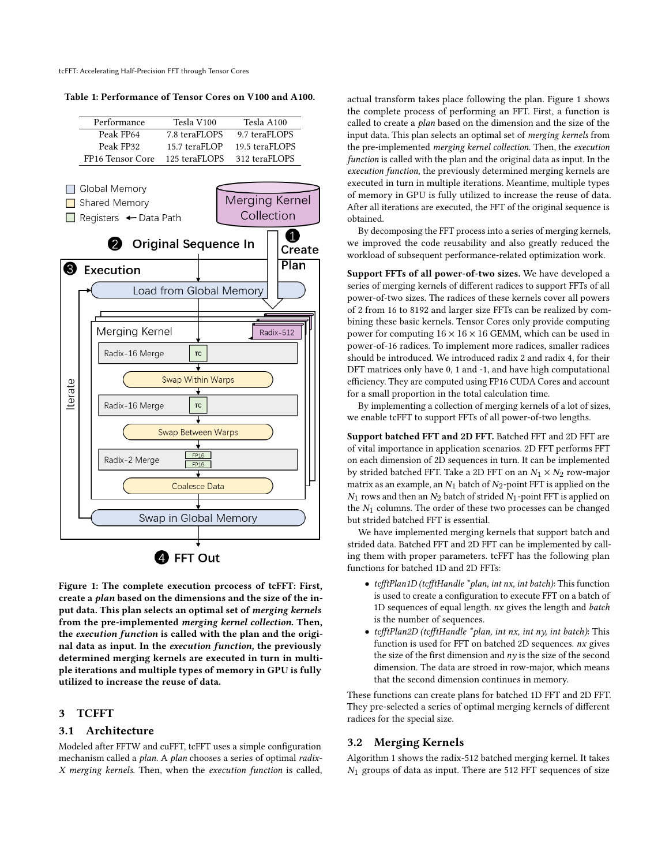tcFFT: Accelerating Half-Precision FFT through Tensor Cores

<span id="page-2-1"></span>Table 1: Performance of Tensor Cores on V100 and A100.

<span id="page-2-2"></span>

Figure 1: The complete execution prcocess of tcFFT: First, create a plan based on the dimensions and the size of the input data. This plan selects an optimal set of merging kernels from the pre-implemented merging kernel collection. Then, the execution function is called with the plan and the original data as input. In the execution function, the previously determined merging kernels are executed in turn in multiple iterations and multiple types of memory in GPU is fully utilized to increase the reuse of data.

## <span id="page-2-0"></span>3 TCFFT

### 3.1 Architecture

Modeled after FFTW and cuFFT, tcFFT uses a simple configuration mechanism called a plan. A plan chooses a series of optimal radix-X merging kernels. Then, when the execution function is called,

actual transform takes place following the plan. Figure [1](#page-2-2) shows the complete process of performing an FFT. First, a function is called to create a plan based on the dimension and the size of the input data. This plan selects an optimal set of merging kernels from the pre-implemented merging kernel collection. Then, the execution function is called with the plan and the original data as input. In the execution function, the previously determined merging kernels are executed in turn in multiple iterations. Meantime, multiple types of memory in GPU is fully utilized to increase the reuse of data. After all iterations are executed, the FFT of the original sequence is obtained.

By decomposing the FFT process into a series of merging kernels, we improved the code reusability and also greatly reduced the workload of subsequent performance-related optimization work.

Support FFTs of all power-of-two sizes. We have developed a series of merging kernels of different radices to support FFTs of all power-of-two sizes. The radices of these kernels cover all powers of 2 from 16 to 8192 and larger size FFTs can be realized by combining these basic kernels. Tensor Cores only provide computing power for computing  $16 \times 16 \times 16$  GEMM, which can be used in power-of-16 radices. To implement more radices, smaller radices should be introduced. We introduced radix 2 and radix 4, for their DFT matrices only have 0, 1 and -1, and have high computational efficiency. They are computed using FP16 CUDA Cores and account for a small proportion in the total calculation time.

By implementing a collection of merging kernels of a lot of sizes, we enable tcFFT to support FFTs of all power-of-two lengths.

Support batched FFT and 2D FFT. Batched FFT and 2D FFT are of vital importance in application scenarios. 2D FFT performs FFT on each dimension of 2D sequences in turn. It can be implemented by strided batched FFT. Take a 2D FFT on an  $N_1 \times N_2$  row-major matrix as an example, an  $N_1$  batch of  $N_2$ -point FFT is applied on the  $N_1$  rows and then an  $N_2$  batch of strided  $N_1$ -point FFT is applied on the  $N_1$  columns. The order of these two processes can be changed but strided batched FFT is essential.

We have implemented merging kernels that support batch and strided data. Batched FFT and 2D FFT can be implemented by calling them with proper parameters. tcFFT has the following plan functions for batched 1D and 2D FFTs:

- tcfftPlan1D (tcfftHandle \*plan, int nx, int batch): This function is used to create a configuration to execute FFT on a batch of 1D sequences of equal length. nx gives the length and batch is the number of sequences.
- tcfftPlan2D (tcfftHandle \*plan, int nx, int ny, int batch): This function is used for FFT on batched 2D sequences. nx gives the size of the first dimension and  $n\gamma$  is the size of the second dimension. The data are stroed in row-major, which means that the second dimension continues in memory.

These functions can create plans for batched 1D FFT and 2D FFT. They pre-selected a series of optimal merging kernels of different radices for the special size.

### 3.2 Merging Kernels

Algorithm [1](#page-3-1) shows the radix-512 batched merging kernel. It takes  $N_1$  groups of data as input. There are 512 FFT sequences of size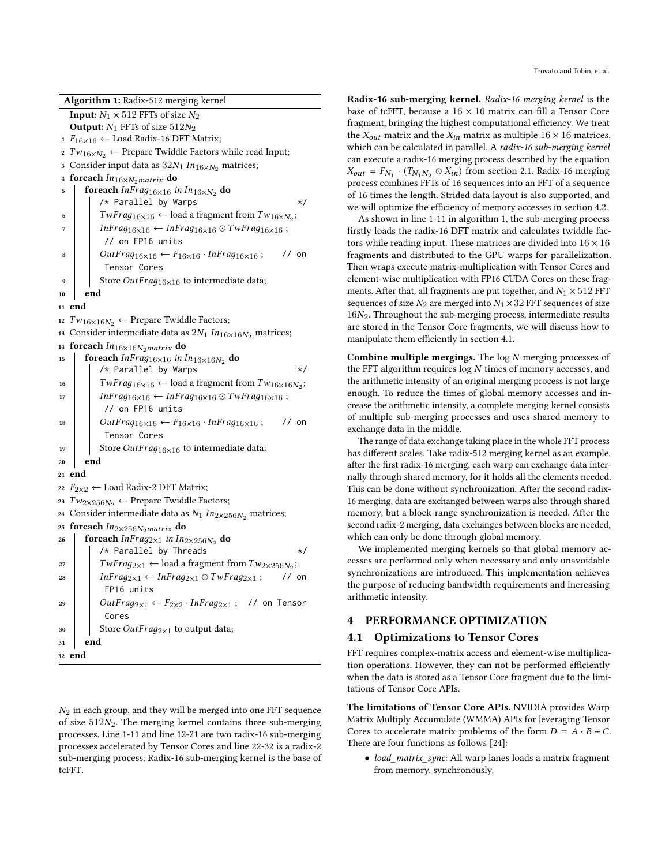<span id="page-3-1"></span>

|    | <b>Algorithm 1:</b> Radix-512 merging kernel                                               |  |  |  |  |  |  |  |
|----|--------------------------------------------------------------------------------------------|--|--|--|--|--|--|--|
|    | <b>Input:</b> $N_1 \times 512$ FFTs of size $N_2$                                          |  |  |  |  |  |  |  |
|    | <b>Output:</b> $N_1$ FFTs of size $512N_2$                                                 |  |  |  |  |  |  |  |
|    | 1 $F_{16\times16}$ ← Load Radix-16 DFT Matrix;                                             |  |  |  |  |  |  |  |
|    | 2 $Tw_{16\times N_2} \leftarrow$ Prepare Twiddle Factors while read Input;                 |  |  |  |  |  |  |  |
|    | 3 Consider input data as $32N_1 In_{16\times N_2}$ matrices;                               |  |  |  |  |  |  |  |
|    | 4 foreach $In_{16\times N_2}$ matrix do                                                    |  |  |  |  |  |  |  |
| 5  | foreach $Infrag_{16\times 16}$ in $In_{16\times N_2}$ do                                   |  |  |  |  |  |  |  |
|    | /* Parallel by Warps<br>$\star/$                                                           |  |  |  |  |  |  |  |
| 6  | $TwFrag_{16\times 16} \leftarrow$ load a fragment from $Tw_{16\times N_2}$ ;               |  |  |  |  |  |  |  |
| 7  | $Infrag_{16\times 16} \leftarrow Infrag_{16\times 16} \odot TwFrag_{16\times 16};$         |  |  |  |  |  |  |  |
|    | // on FP16 units                                                                           |  |  |  |  |  |  |  |
| 8  | $OutFrag_{16\times 16} \leftarrow F_{16\times 16} \cdot InFrag_{16\times 16}$ ;<br>$//$ on |  |  |  |  |  |  |  |
|    | Tensor Cores                                                                               |  |  |  |  |  |  |  |
| 9  | Store <i>OutFrag</i> <sub>16<math>\times</math>16 to intermediate data;</sub>              |  |  |  |  |  |  |  |
| 10 | end                                                                                        |  |  |  |  |  |  |  |
|    | 11 end                                                                                     |  |  |  |  |  |  |  |
| 12 | $Tw_{16\times 16N_2} \leftarrow$ Prepare Twiddle Factors;                                  |  |  |  |  |  |  |  |
|    | 13 Consider intermediate data as $2N_1 In_{16\times 16N_2}$ matrices;                      |  |  |  |  |  |  |  |
|    | 14 foreach $In_{16\times16N_2}$ matrix do                                                  |  |  |  |  |  |  |  |
| 15 | foreach InFrag <sub>16×16</sub> in In <sub>16×16</sub> N <sub>2</sub> do                   |  |  |  |  |  |  |  |
|    | /* Parallel by Warps<br>$\star/$                                                           |  |  |  |  |  |  |  |
| 16 | $TwFrag_{16\times 16} \leftarrow$ load a fragment from $Tw_{16\times 16N_2}$ ;             |  |  |  |  |  |  |  |
| 17 | $InFrag_{16\times 16} \leftarrow InFrag_{16\times 16} \odot TwFrag_{16\times 16}$ ;        |  |  |  |  |  |  |  |
|    | // on FP16 units                                                                           |  |  |  |  |  |  |  |
| 18 | $OutFrag_{16\times 16} \leftarrow F_{16\times 16} \cdot InFrag_{16\times 16}$ ;<br>$//$ on |  |  |  |  |  |  |  |
|    | Tensor Cores                                                                               |  |  |  |  |  |  |  |
| 19 | Store <i>OutFrag</i> <sub>16<math>\times</math>16 to intermediate data;</sub>              |  |  |  |  |  |  |  |
| 20 | end                                                                                        |  |  |  |  |  |  |  |
|    | 21 end                                                                                     |  |  |  |  |  |  |  |
| 22 | $F_{2\times2} \leftarrow$ Load Radix-2 DFT Matrix;                                         |  |  |  |  |  |  |  |
| 23 | $Tw_{2\times256N_2} \leftarrow \text{Prepare Twiddle Factors};$                            |  |  |  |  |  |  |  |
|    | 24 Consider intermediate data as $N_1 In_{2 \times 256N_2}$ matrices;                      |  |  |  |  |  |  |  |
|    | 25 foreach $In_{2\times 256N_2}$ matrix do                                                 |  |  |  |  |  |  |  |
| 26 | foreach $InFrag_{2\times1}$ in $In_{2\times256N_2}$ do                                     |  |  |  |  |  |  |  |
|    | /* Parallel by Threads<br>$\star/$                                                         |  |  |  |  |  |  |  |
| 27 | $TwFrag_{2\times 1} \leftarrow$ load a fragment from $Tw_{2\times 256N_2}$ ;               |  |  |  |  |  |  |  |
| 28 | $Infrag_{2\times 1} \leftarrow Infrag_{2\times 1} \odot TwFrag_{2\times 1};$<br>$//$ on    |  |  |  |  |  |  |  |
|    | FP16 units                                                                                 |  |  |  |  |  |  |  |
| 29 | $OutFrag_{2\times 1} \leftarrow F_{2\times 2} \cdot InFrag_{2\times 1}$ ; // on Tensor     |  |  |  |  |  |  |  |
|    | Cores                                                                                      |  |  |  |  |  |  |  |
| 30 | Store OutFrag <sub>2×1</sub> to output data;                                               |  |  |  |  |  |  |  |
| 31 | end                                                                                        |  |  |  |  |  |  |  |
|    | 32 end                                                                                     |  |  |  |  |  |  |  |

 $N_2$  in each group, and they will be merged into one FFT sequence of size  $512N_2$ . The merging kernel contains three sub-merging processes. Line 1-11 and line 12-21 are two radix-16 sub-merging processes accelerated by Tensor Cores and line 22-32 is a radix-2 sub-merging process. Radix-16 sub-merging kernel is the base of tcFFT.

Radix-16 sub-merging kernel. Radix-16 merging kernel is the base of tcFFT, because a  $16 \times 16$  matrix can fill a Tensor Core fragment, bringing the highest computational efficiency. We treat the  $X_{out}$  matrix and the  $X_{in}$  matrix as multiple  $16 \times 16$  matrices, which can be calculated in parallel. A radix-16 sub-merging kernel can execute a radix-16 merging process described by the equation  $X_{out} = F_{N_1} \cdot (T_{N_1 N_2} \odot X_{in})$  from section [2.1.](#page-1-2) Radix-16 merging process combines FFTs of 16 sequences into an FFT of a sequence of 16 times the length. Strided data layout is also supported, and we will optimize the efficiency of memory accesses in section [4.2.](#page-4-0)

As shown in line 1-11 in algorithm [1,](#page-3-1) the sub-merging process firstly loads the radix-16 DFT matrix and calculates twiddle factors while reading input. These matrices are divided into  $16 \times 16$ fragments and distributed to the GPU warps for parallelization. Then wraps execute matrix-multiplication with Tensor Cores and element-wise multiplication with FP16 CUDA Cores on these fragments. After that, all fragments are put together, and  $N_1 \times 512$  FFT sequences of size  $N_2$  are merged into  $N_1 \times 32$  FFT sequences of size  $16N<sub>2</sub>$ . Throughout the sub-merging process, intermediate results are stored in the Tensor Core fragments, we will discuss how to manipulate them efficiently in section [4.1.](#page-3-0)

Combine multiple mergings. The  $log N$  merging processes of the FFT algorithm requires  $log N$  times of memory accesses, and the arithmetic intensity of an original merging process is not large enough. To reduce the times of global memory accesses and increase the arithmetic intensity, a complete merging kernel consists of multiple sub-merging processes and uses shared memory to exchange data in the middle.

The range of data exchange taking place in the whole FFT process has different scales. Take radix-512 merging kernel as an example, after the first radix-16 merging, each warp can exchange data internally through shared memory, for it holds all the elements needed. This can be done without synchronization. After the second radix-16 merging, data are exchanged between warps also through shared memory, but a block-range synchronization is needed. After the second radix-2 merging, data exchanges between blocks are needed, which can only be done through global memory.

We implemented merging kernels so that global memory accesses are performed only when necessary and only unavoidable synchronizations are introduced. This implementation achieves the purpose of reducing bandwidth requirements and increasing arithmetic intensity.

## 4 PERFORMANCE OPTIMIZATION

#### <span id="page-3-0"></span>4.1 Optimizations to Tensor Cores

FFT requires complex-matrix access and element-wise multiplication operations. However, they can not be performed efficiently when the data is stored as a Tensor Core fragment due to the limitations of Tensor Core APIs.

The limitations of Tensor Core APIs. NVIDIA provides Warp Matrix Multiply Accumulate (WMMA) APIs for leveraging Tensor Cores to accelerate matrix problems of the form  $D = A \cdot B + C$ . There are four functions as follows [\[24\]](#page-9-22):

• load\_matrix\_sync: All warp lanes loads a matrix fragment from memory, synchronously.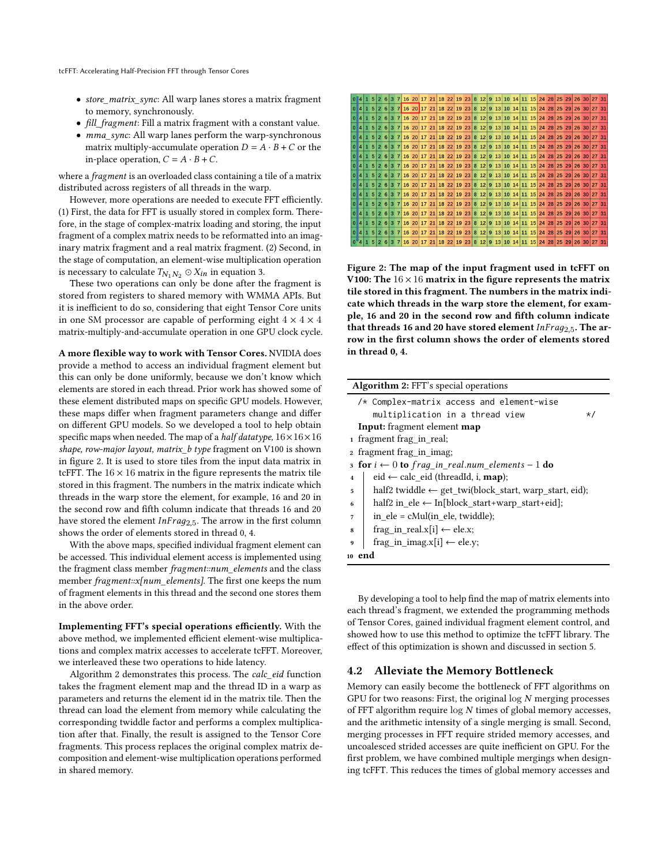- store\_matrix\_sync: All warp lanes stores a matrix fragment to memory, synchronously.
- fill fragment: Fill a matrix fragment with a constant value.
- *mma\_sync*: All warp lanes perform the warp-synchronous matrix multiply-accumulate operation  $D = A \cdot B + C$  or the in-place operation,  $C = A \cdot B + C$ .

where a fragment is an overloaded class containing a tile of a matrix distributed across registers of all threads in the warp.

However, more operations are needed to execute FFT efficiently. (1) First, the data for FFT is usually stored in complex form. Therefore, in the stage of complex-matrix loading and storing, the input fragment of a complex matrix needs to be reformatted into an imaginary matrix fragment and a real matrix fragment. (2) Second, in the stage of computation, an element-wise multiplication operation is necessary to calculate  $T_{N_1 N_2} \odot X_{in}$  in equation [3.](#page-1-1)

These two operations can only be done after the fragment is stored from registers to shared memory with WMMA APIs. But it is inefficient to do so, considering that eight Tensor Core units in one SM processor are capable of performing eight  $4 \times 4 \times 4$ matrix-multiply-and-accumulate operation in one GPU clock cycle.

A more flexible way to work with Tensor Cores. NVIDIA does provide a method to access an individual fragment element but this can only be done uniformly, because we don't know which elements are stored in each thread. Prior work has showed some of these element distributed maps on specific GPU models. However, these maps differ when fragment parameters change and differ on different GPU models. So we developed a tool to help obtain specific maps when needed. The map of a *half datatype*,  $16 \times 16 \times 16$ shape, row-major layout, matrix\_b type fragment on V100 is shown in figure [2.](#page-4-1) It is used to store tiles from the input data matrix in tcFFT. The  $16 \times 16$  matrix in the figure represents the matrix tile stored in this fragment. The numbers in the matrix indicate which threads in the warp store the element, for example, 16 and 20 in the second row and fifth column indicate that threads 16 and 20 have stored the element  $InFrag_{2.5}$ . The arrow in the first column shows the order of elements stored in thread 0, 4.

With the above maps, specified individual fragment element can be accessed. This individual element access is implemented using the fragment class member fragment::num\_elements and the class member fragment::x[num\_elements]. The first one keeps the num of fragment elements in this thread and the second one stores them in the above order.

Implementing FFT's special operations efficiently. With the above method, we implemented efficient element-wise multiplications and complex matrix accesses to accelerate tcFFT. Moreover, we interleaved these two operations to hide latency.

Algorithm [2](#page-4-2) demonstrates this process. The calc\_eid function takes the fragment element map and the thread ID in a warp as parameters and returns the element id in the matrix tile. Then the thread can load the element from memory while calculating the corresponding twiddle factor and performs a complex multiplication after that. Finally, the result is assigned to the Tensor Core fragments. This process replaces the original complex matrix decomposition and element-wise multiplication operations performed in shared memory.

<span id="page-4-1"></span>

Figure 2: The map of the input fragment used in tcFFT on V100: The  $16 \times 16$  matrix in the figure represents the matrix tile stored in this fragment. The numbers in the matrix indicate which threads in the warp store the element, for example, 16 and 20 in the second row and fifth column indicate that threads 16 and 20 have stored element  $InFrag_{2.5}$ . The arrow in the first column shows the order of elements stored in thread 0, 4.

<span id="page-4-2"></span>

| <b>Algorithm 2: FFT's special operations</b>                      |  |  |  |  |  |  |  |  |
|-------------------------------------------------------------------|--|--|--|--|--|--|--|--|
| /* Complex-matrix access and element-wise                         |  |  |  |  |  |  |  |  |
| multiplication in a thread view<br>$\star/$                       |  |  |  |  |  |  |  |  |
| <b>Input:</b> fragment element <b>map</b>                         |  |  |  |  |  |  |  |  |
| 1 fragment frag in real;                                          |  |  |  |  |  |  |  |  |
| fragment frag in imag;<br>$\mathbf{2}$                            |  |  |  |  |  |  |  |  |
| 3 for $i \leftarrow 0$ to frag_in_real.num_elements - 1 do        |  |  |  |  |  |  |  |  |
| eid $\leftarrow$ calc eid (threadId, i, <b>map</b> );             |  |  |  |  |  |  |  |  |
| half2 twiddle $\leftarrow$ get_twi(block_start, warp_start, eid); |  |  |  |  |  |  |  |  |
| half2 in ele $\leftarrow$ In[block start+warp start+eid];         |  |  |  |  |  |  |  |  |
| in $ele = cMul(in$ ele, twiddle);                                 |  |  |  |  |  |  |  |  |
| frag in real.x[i] $\leftarrow$ ele.x;<br>8                        |  |  |  |  |  |  |  |  |
| frag in imag.x[i] $\leftarrow$ ele.y;<br>9                        |  |  |  |  |  |  |  |  |
| 10 end                                                            |  |  |  |  |  |  |  |  |
|                                                                   |  |  |  |  |  |  |  |  |

By developing a tool to help find the map of matrix elements into each thread's fragment, we extended the programming methods of Tensor Cores, gained individual fragment element control, and showed how to use this method to optimize the tcFFT library. The effect of this optimization is shown and discussed in section [5.](#page-5-0)

#### <span id="page-4-0"></span>4.2 Alleviate the Memory Bottleneck

Memory can easily become the bottleneck of FFT algorithms on GPU for two reasons: First, the original  $log N$  merging processes of FFT algorithm require  $log N$  times of global memory accesses, and the arithmetic intensity of a single merging is small. Second, merging processes in FFT require strided memory accesses, and uncoalesced strided accesses are quite inefficient on GPU. For the first problem, we have combined multiple mergings when designing tcFFT. This reduces the times of global memory accesses and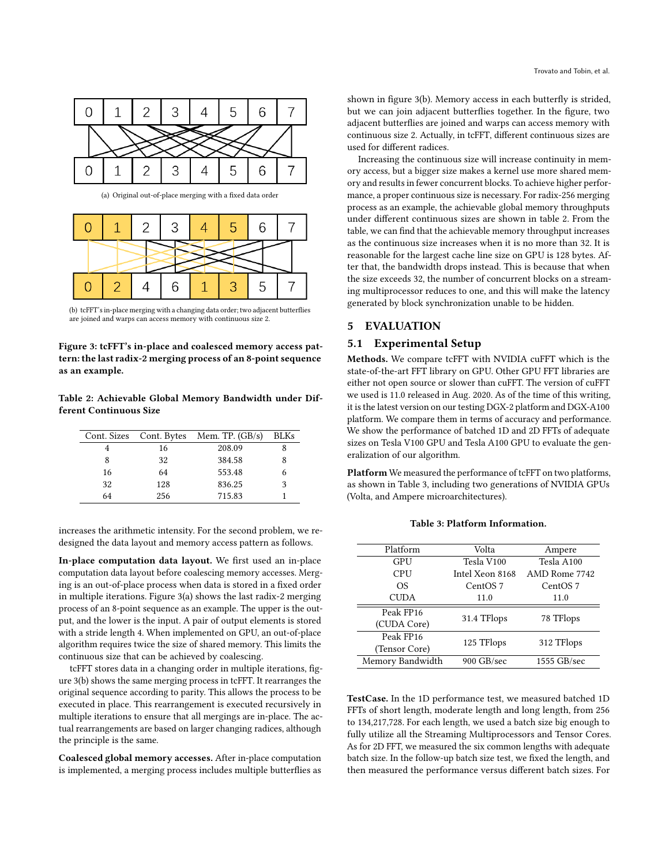<span id="page-5-1"></span>

(a) Original out-of-place merging with a fixed data order



<span id="page-5-2"></span>(b) tcFFT's in-place merging with a changing data order; two adjacent butterflies are joined and warps can access memory with continuous size 2.

Figure 3: tcFFT's in-place and coalesced memory access pattern: the last radix-2 merging process of an 8-point sequence as an example.

<span id="page-5-3"></span>Table 2: Achievable Global Memory Bandwidth under Different Continuous Size

|    |     | Cont. Sizes Cont. Bytes Mem. TP. (GB/s) | <b>BLKs</b> |
|----|-----|-----------------------------------------|-------------|
|    | 16  | 208.09                                  |             |
| 8  | 32  | 384.58                                  |             |
| 16 | 64  | 553.48                                  |             |
| 32 | 128 | 836.25                                  |             |
| 64 | 256 | 715.83                                  |             |

increases the arithmetic intensity. For the second problem, we redesigned the data layout and memory access pattern as follows.

In-place computation data layout. We first used an in-place computation data layout before coalescing memory accesses. Merging is an out-of-place process when data is stored in a fixed order in multiple iterations. Figure [3\(a\)](#page-5-1) shows the last radix-2 merging process of an 8-point sequence as an example. The upper is the output, and the lower is the input. A pair of output elements is stored with a stride length 4. When implemented on GPU, an out-of-place algorithm requires twice the size of shared memory. This limits the continuous size that can be achieved by coalescing.

tcFFT stores data in a changing order in multiple iterations, figure [3\(b\)](#page-5-2) shows the same merging process in tcFFT. It rearranges the original sequence according to parity. This allows the process to be executed in place. This rearrangement is executed recursively in multiple iterations to ensure that all mergings are in-place. The actual rearrangements are based on larger changing radices, although the principle is the same.

Coalesced global memory accesses. After in-place computation is implemented, a merging process includes multiple butterflies as

shown in figure [3\(b\).](#page-5-2) Memory access in each butterfly is strided, but we can join adjacent butterflies together. In the figure, two adjacent butterflies are joined and warps can access memory with continuous size 2. Actually, in tcFFT, different continuous sizes are used for different radices.

Increasing the continuous size will increase continuity in memory access, but a bigger size makes a kernel use more shared memory and results in fewer concurrent blocks. To achieve higher performance, a proper continuous size is necessary. For radix-256 merging process as an example, the achievable global memory throughputs under different continuous sizes are shown in table [2.](#page-5-3) From the table, we can find that the achievable memory throughput increases as the continuous size increases when it is no more than 32. It is reasonable for the largest cache line size on GPU is 128 bytes. After that, the bandwidth drops instead. This is because that when the size exceeds 32, the number of concurrent blocks on a streaming multiprocessor reduces to one, and this will make the latency generated by block synchronization unable to be hidden.

#### <span id="page-5-0"></span>5 EVALUATION

## 5.1 Experimental Setup

Methods. We compare tcFFT with NVIDIA cuFFT which is the state-of-the-art FFT library on GPU. Other GPU FFT libraries are either not open source or slower than cuFFT. The version of cuFFT we used is 11.0 released in Aug. 2020. As of the time of this writing, it is the latest version on our testing DGX-2 platform and DGX-A100 platform. We compare them in terms of accuracy and performance. We show the performance of batched 1D and 2D FFTs of adequate sizes on Tesla V100 GPU and Tesla A100 GPU to evaluate the generalization of our algorithm.

Platform We measured the performance of tcFFT on two platforms, as shown in Table [3,](#page-5-4) including two generations of NVIDIA GPUs (Volta, and Ampere microarchitectures).

<span id="page-5-4"></span>Platform Volta Ampere GPU Tesla V100 Tesla A100 CPU Intel Xeon 8168 AMD Rome 7742 OS CentOS 7 CentOS 7 CUDA 11.0 11.0 Peak FP16 Teak IT 10<br>
(CUDA Core) 31.4 TFlops 78 TFlops Peak FP16 Tensor Core) 125 TFlops 312 TFlops Memory Bandwidth 900 GB/sec 1555 GB/sec

TestCase. In the 1D performance test, we measured batched 1D FFTs of short length, moderate length and long length, from 256 to 134,217,728. For each length, we used a batch size big enough to fully utilize all the Streaming Multiprocessors and Tensor Cores. As for 2D FFT, we measured the six common lengths with adequate batch size. In the follow-up batch size test, we fixed the length, and then measured the performance versus different batch sizes. For

Table 3: Platform Information.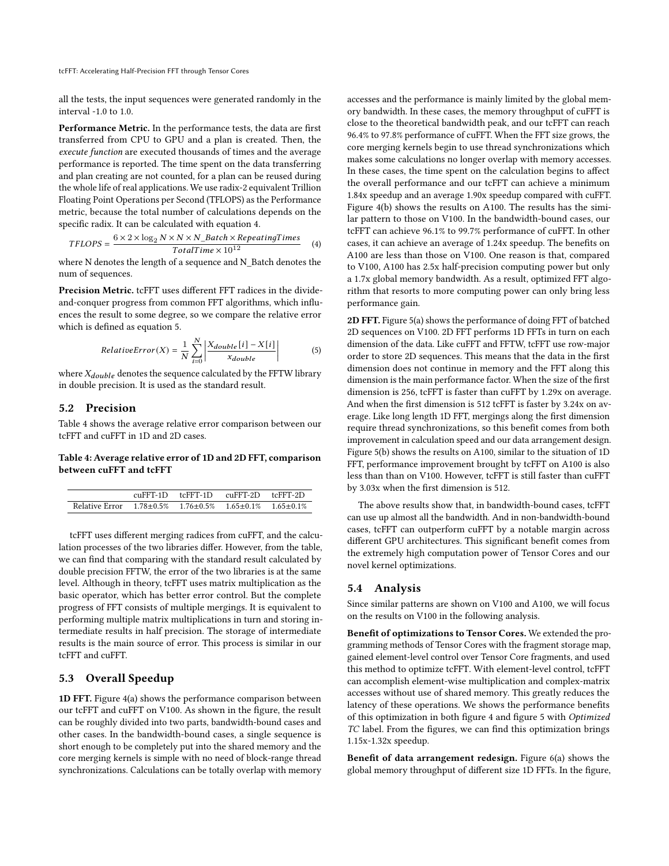all the tests, the input sequences were generated randomly in the interval -1.0 to 1.0.

Performance Metric. In the performance tests, the data are first transferred from CPU to GPU and a plan is created. Then, the execute function are executed thousands of times and the average performance is reported. The time spent on the data transferring and plan creating are not counted, for a plan can be reused during the whole life of real applications. We use radix-2 equivalent Trillion Floating Point Operations per Second (TFLOPS) as the Performance metric, because the total number of calculations depends on the specific radix. It can be calculated with equation [4.](#page-6-0)

<span id="page-6-0"></span>
$$
TFLOPS = \frac{6 \times 2 \times \log_2 N \times N \times N\_Batch \times RepeatingTimes}{TotalTime \times 10^{12}}
$$
 (4)

where N denotes the length of a sequence and N\_Batch denotes the num of sequences.

Precision Metric. tcFFT uses different FFT radices in the divideand-conquer progress from common FFT algorithms, which influences the result to some degree, so we compare the relative error which is defined as equation [5.](#page-6-1)

<span id="page-6-1"></span>
$$
RelativeError(X) = \frac{1}{N} \sum_{i=0}^{N} \left| \frac{X_{double}[i] - X[i]}{x_{double}} \right|
$$
 (5)

where  $X_{double}$  denotes the sequence calculated by the FFTW library in double precision. It is used as the standard result.

## 5.2 Precision

Table [4](#page-6-2) shows the average relative error comparison between our tcFFT and cuFFT in 1D and 2D cases.

## <span id="page-6-2"></span>Table 4: Average relative error of 1D and 2D FFT, comparison between cuFFT and tcFFT

|                                                                                    | $cu$ FFT-1D $tc$ FFT-1D $cu$ FFT-2D $tc$ FFT-2D |  |
|------------------------------------------------------------------------------------|-------------------------------------------------|--|
| Relative Error $1.78 \pm 0.5\%$ $1.76 \pm 0.5\%$ $1.65 \pm 0.1\%$ $1.65 \pm 0.1\%$ |                                                 |  |

tcFFT uses different merging radices from cuFFT, and the calculation processes of the two libraries differ. However, from the table, we can find that comparing with the standard result calculated by double precision FFTW, the error of the two libraries is at the same level. Although in theory, tcFFT uses matrix multiplication as the basic operator, which has better error control. But the complete progress of FFT consists of multiple mergings. It is equivalent to performing multiple matrix multiplications in turn and storing intermediate results in half precision. The storage of intermediate results is the main source of error. This process is similar in our tcFFT and cuFFT.

## 5.3 Overall Speedup

1D FFT. Figure [4\(a\)](#page-7-0) shows the performance comparison between our tcFFT and cuFFT on V100. As shown in the figure, the result can be roughly divided into two parts, bandwidth-bound cases and other cases. In the bandwidth-bound cases, a single sequence is short enough to be completely put into the shared memory and the core merging kernels is simple with no need of block-range thread synchronizations. Calculations can be totally overlap with memory accesses and the performance is mainly limited by the global memory bandwidth. In these cases, the memory throughput of cuFFT is close to the theoretical bandwidth peak, and our tcFFT can reach 96.4% to 97.8% performance of cuFFT. When the FFT size grows, the core merging kernels begin to use thread synchronizations which makes some calculations no longer overlap with memory accesses. In these cases, the time spent on the calculation begins to affect the overall performance and our tcFFT can achieve a minimum 1.84x speedup and an average 1.90x speedup compared with cuFFT. Figure [4\(b\)](#page-7-1) shows the results on A100. The results has the similar pattern to those on V100. In the bandwidth-bound cases, our tcFFT can achieve 96.1% to 99.7% performance of cuFFT. In other cases, it can achieve an average of 1.24x speedup. The benefits on A100 are less than those on V100. One reason is that, compared to V100, A100 has 2.5x half-precision computing power but only a 1.7x global memory bandwidth. As a result, optimized FFT algorithm that resorts to more computing power can only bring less performance gain.

2D FFT. Figure [5\(a\)](#page-7-2) shows the performance of doing FFT of batched 2D sequences on V100. 2D FFT performs 1D FFTs in turn on each dimension of the data. Like cuFFT and FFTW, tcFFT use row-major order to store 2D sequences. This means that the data in the first dimension does not continue in memory and the FFT along this dimension is the main performance factor. When the size of the first dimension is 256, tcFFT is faster than cuFFT by 1.29x on average. And when the first dimension is 512 tcFFT is faster by 3.24x on average. Like long length 1D FFT, mergings along the first dimension require thread synchronizations, so this benefit comes from both improvement in calculation speed and our data arrangement design. Figure [5\(b\)](#page-7-3) shows the results on A100, similar to the situation of 1D FFT, performance improvement brought by tcFFT on A100 is also less than than on V100. However, tcFFT is still faster than cuFFT by 3.03x when the first dimension is 512.

The above results show that, in bandwidth-bound cases, tcFFT can use up almost all the bandwidth. And in non-bandwidth-bound cases, tcFFT can outperform cuFFT by a notable margin across different GPU architectures. This significant benefit comes from the extremely high computation power of Tensor Cores and our novel kernel optimizations.

## 5.4 Analysis

Since similar patterns are shown on V100 and A100, we will focus on the results on V100 in the following analysis.

Benefit of optimizations to Tensor Cores. We extended the programming methods of Tensor Cores with the fragment storage map, gained element-level control over Tensor Core fragments, and used this method to optimize tcFFT. With element-level control, tcFFT can accomplish element-wise multiplication and complex-matrix accesses without use of shared memory. This greatly reduces the latency of these operations. We shows the performance benefits of this optimization in both figure [4](#page-7-4) and figure [5](#page-7-5) with Optimized TC label. From the figures, we can find this optimization brings 1.15x-1.32x speedup.

Benefit of data arrangement redesign. Figure [6\(a\)](#page-7-6) shows the global memory throughput of different size 1D FFTs. In the figure,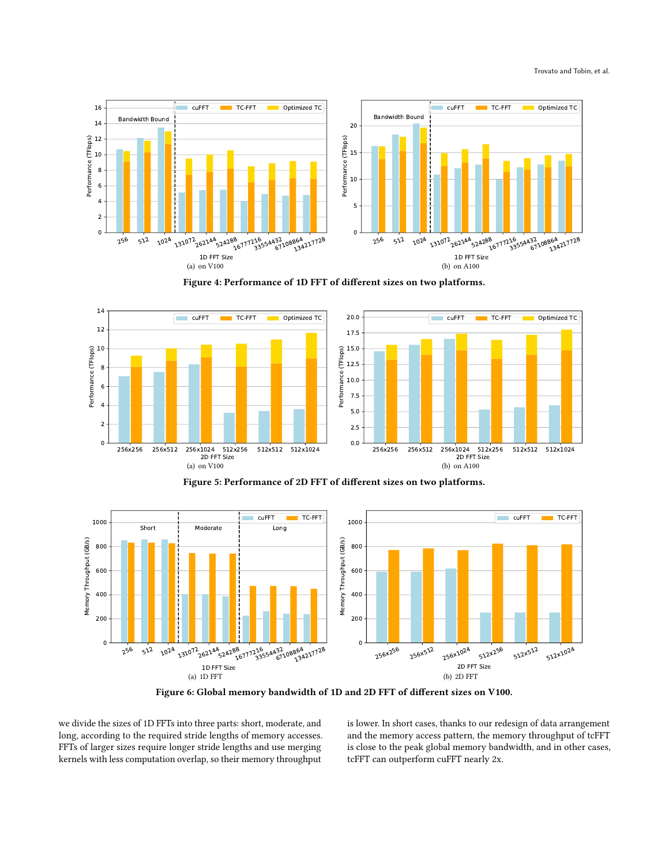<span id="page-7-4"></span><span id="page-7-0"></span>

<span id="page-7-1"></span>

<span id="page-7-5"></span><span id="page-7-2"></span>

<span id="page-7-3"></span>

<span id="page-7-6"></span>

Figure 6: Global memory bandwidth of 1D and 2D FFT of different sizes on V100.

we divide the sizes of 1D FFTs into three parts: short, moderate, and long, according to the required stride lengths of memory accesses. FFTs of larger sizes require longer stride lengths and use merging kernels with less computation overlap, so their memory throughput

<span id="page-7-7"></span>is lower. In short cases, thanks to our redesign of data arrangement and the memory access pattern, the memory throughput of tcFFT is close to the peak global memory bandwidth, and in other cases, tcFFT can outperform cuFFT nearly 2x.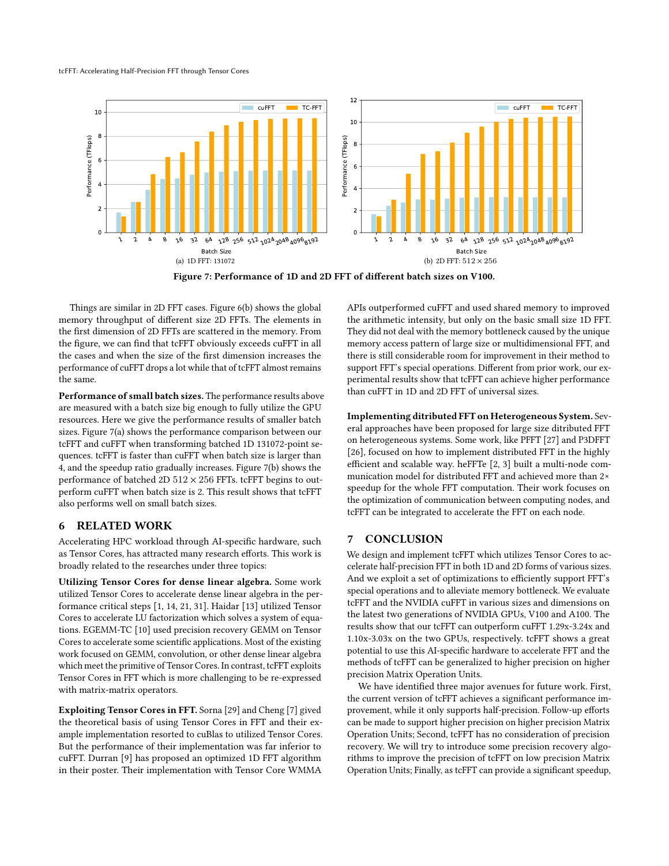#### <span id="page-8-0"></span>tcFFT: Accelerating Half-Precision FFT through Tensor Cores



Figure 7: Performance of 1D and 2D FFT of different batch sizes on V100.

Things are similar in 2D FFT cases. Figure [6\(b\)](#page-7-7) shows the global memory throughput of different size 2D FFTs. The elements in the first dimension of 2D FFTs are scattered in the memory. From the figure, we can find that tcFFT obviously exceeds cuFFT in all the cases and when the size of the first dimension increases the performance of cuFFT drops a lot while that of tcFFT almost remains the same.

Performance of small batch sizes. The performance results above are measured with a batch size big enough to fully utilize the GPU resources. Here we give the performance results of smaller batch sizes. Figure [7\(a\)](#page-8-0) shows the performance comparison between our tcFFT and cuFFT when transforming batched 1D 131072-point sequences. tcFFT is faster than cuFFT when batch size is larger than 4, and the speedup ratio gradually increases. Figure [7\(b\)](#page-8-1) shows the performance of batched 2D  $512 \times 256$  FFTs. tcFFT begins to outperform cuFFT when batch size is 2. This result shows that tcFFT also performs well on small batch sizes.

## 6 RELATED WORK

Accelerating HPC workload through AI-specific hardware, such as Tensor Cores, has attracted many research efforts. This work is broadly related to the researches under three topics:

Utilizing Tensor Cores for dense linear algebra. Some work utilized Tensor Cores to accelerate dense linear algebra in the performance critical steps [\[1,](#page-9-23) [14,](#page-9-24) [21,](#page-9-25) [31\]](#page-9-21). Haidar [\[13\]](#page-9-26) utilized Tensor Cores to accelerate LU factorization which solves a system of equations. EGEMM-TC [\[10\]](#page-9-27) used precision recovery GEMM on Tensor Cores to accelerate some scientific applications. Most of the existing work focused on GEMM, convolution, or other dense linear algebra which meet the primitive of Tensor Cores. In contrast, tcFFT exploits Tensor Cores in FFT which is more challenging to be re-expressed with matrix-matrix operators.

Exploiting Tensor Cores in FFT. Sorna [\[29\]](#page-9-17) and Cheng [\[7\]](#page-9-15) gived the theoretical basis of using Tensor Cores in FFT and their example implementation resorted to cuBlas to utilized Tensor Cores. But the performance of their implementation was far inferior to cuFFT. Durran [\[9\]](#page-9-16) has proposed an optimized 1D FFT algorithm in their poster. Their implementation with Tensor Core WMMA

<span id="page-8-1"></span>APIs outperformed cuFFT and used shared memory to improved the arithmetic intensity, but only on the basic small size 1D FFT. They did not deal with the memory bottleneck caused by the unique memory access pattern of large size or multidimensional FFT, and there is still considerable room for improvement in their method to support FFT's special operations. Different from prior work, our experimental results show that tcFFT can achieve higher performance than cuFFT in 1D and 2D FFT of universal sizes.

Implementing ditributed FFT on Heterogeneous System. Several approaches have been proposed for large size ditributed FFT on heterogeneous systems. Some work, like PFFT [\[27\]](#page-9-28) and P3DFFT [\[26\]](#page-9-29), focused on how to implement distributed FFT in the highly efficient and scalable way. heFFTe [\[2,](#page-9-30) [3\]](#page-9-31) built a multi-node communication model for distributed FFT and achieved more than 2× speedup for the whole FFT computation. Their work focuses on the optimization of communication between computing nodes, and tcFFT can be integrated to accelerate the FFT on each node.

#### 7 CONCLUSION

We design and implement tcFFT which utilizes Tensor Cores to accelerate half-precision FFT in both 1D and 2D forms of various sizes. And we exploit a set of optimizations to efficiently support FFT's special operations and to alleviate memory bottleneck. We evaluate tcFFT and the NVIDIA cuFFT in various sizes and dimensions on the latest two generations of NVIDIA GPUs, V100 and A100. The results show that our tcFFT can outperform cuFFT 1.29x-3.24x and 1.10x-3.03x on the two GPUs, respectively. tcFFT shows a great potential to use this AI-specific hardware to accelerate FFT and the methods of tcFFT can be generalized to higher precision on higher precision Matrix Operation Units.

We have identified three major avenues for future work. First, the current version of tcFFT achieves a significant performance improvement, while it only supports half-precision. Follow-up efforts can be made to support higher precision on higher precision Matrix Operation Units; Second, tcFFT has no consideration of precision recovery. We will try to introduce some precision recovery algorithms to improve the precision of tcFFT on low precision Matrix Operation Units; Finally, as tcFFT can provide a significant speedup,